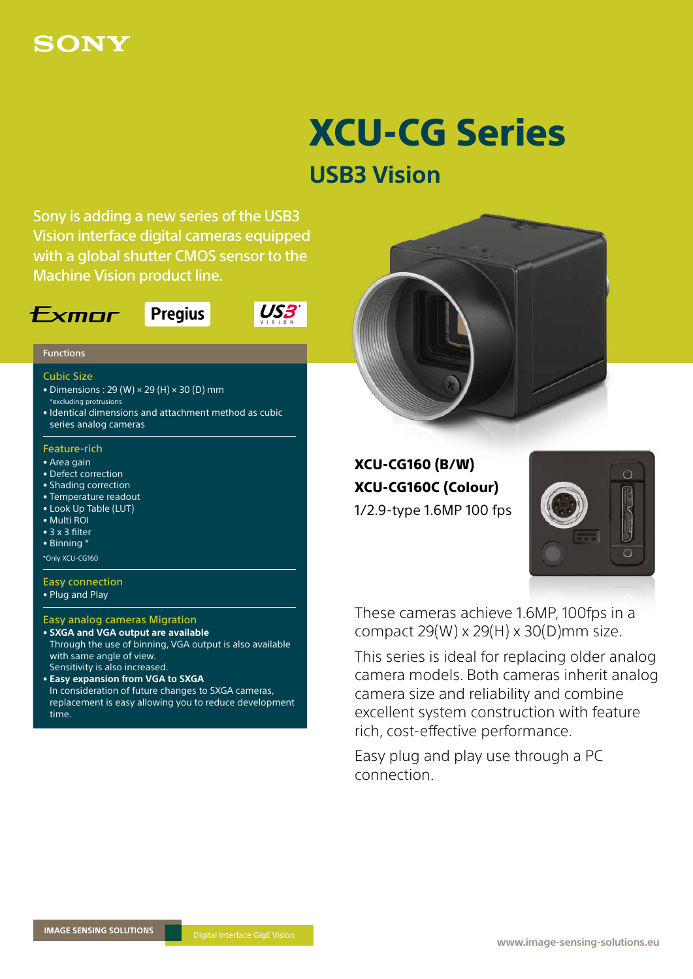# SONY

# XCU-CG Series

# **USB3 Vision**

Sony is adding a new series of the USB3 Vision interface digital cameras equipped with a global shutter CMOS sensor to the Machine Vision product line.

## $F$ *xmnr*



US3

### Functions

### Cubic Size

- Dimensions:  $29(W) \times 29(H) \times 30(D)$  mm \*excluding protrusions
- Identical dimensions and attachment method as cubic series analog cameras

### Feature-rich

- Area gain
- Defect correction
- Shading correction
- Temperature readout
- Look Up Table (LUT)
- Multi ROI
- 3 x 3 filter
- Binning \*

\*Only XCU-CG160

### Easy connection

• Plug and Play

### Easy analog cameras Migration

- **SXGA and VGA output are available** Through the use of binning, VGA output is also available with same angle of view. Sensitivity is also increased.
- **Easy expansion from VGA to SXGA** In consideration of future changes to SXGA cameras, replacement is easy allowing you to reduce development time.



XCU-CG160 (B/W) XCU-CG160C (Colour) 1/2.9-type 1.6MP 100 fps



These cameras achieve 1.6MP, 100fps in a compact 29(W) x 29(H) x 30(D)mm size.

This series is ideal for replacing older analog camera models. Both cameras inherit analog camera size and reliability and combine excellent system construction with feature rich, cost-effective performance.

Easy plug and play use through a PC connection.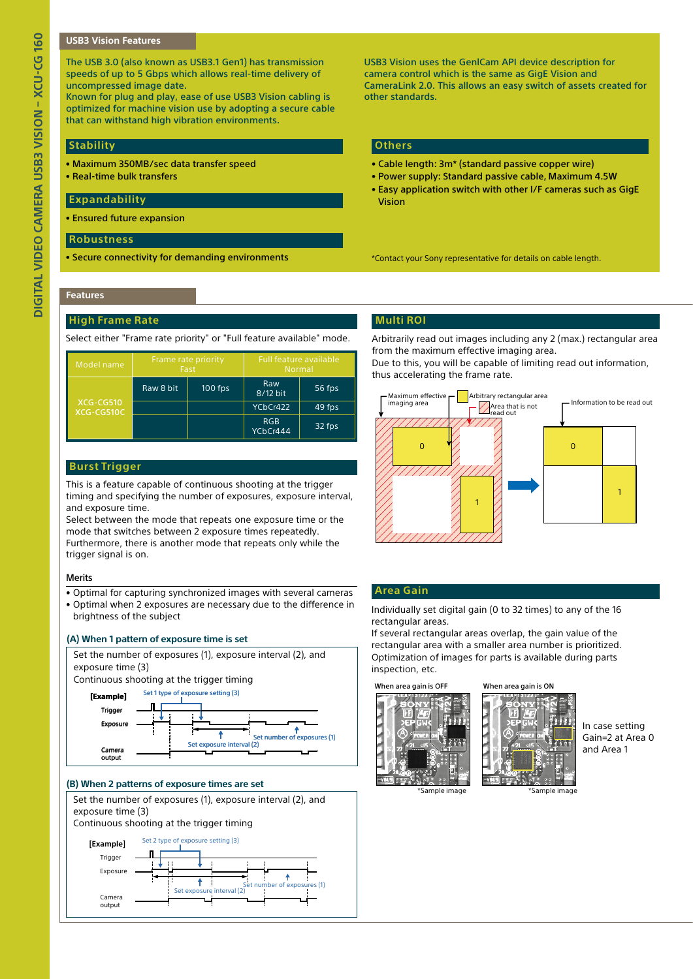### **USB3 Vision Features**

The USB 3.0 (also known as USB3.1 Gen1) has transmission speeds of up to 5 Gbps which allows real-time delivery of uncompressed image date.

Known for plug and play, ease of use USB3 Vision cabling is optimized for machine vision use by adopting a secure cable that can withstand high vibration environments.

### **Stability**

- Maximum 350MB/sec data transfer speed
- Real-time bulk transfers

### **Expandability**

• Ensured future expansion

### **Robustness**

• Secure connectivity for demanding environments

**Others**

other standards.

• Cable length: 3m\* (standard passive copper wire)

USB3 Vision uses the GenlCam API device description for camera control which is the same as GigE Vision and

CameraLink 2.0. This allows an easy switch of assets created for

- Power supply: Standard passive cable, Maximum 4.5W
- Easy application switch with other I/F cameras such as GigE Vision

\*Contact your Sony representative for details on cable length.

### **Features**

### **High Frame Rate**

Select either "Frame rate priority" or "Full feature available" mode.

| Model name              | Frame rate priority<br>Fast |           | <b>Full feature available</b><br><b>Normal</b> |        |  |
|-------------------------|-----------------------------|-----------|------------------------------------------------|--------|--|
| XCG-CG510<br>XCG-CG510C | Raw 8 bit                   | $100$ fps | Raw<br>8/12 bit                                | 56 fps |  |
|                         |                             |           | YCbCr422                                       | 49 fps |  |
|                         |                             |           | <b>RGB</b><br>YCbCr444                         | 32 fps |  |

This is a feature capable of continuous shooting at the trigger timing and specifying the number of exposures, exposure interval, and exposure time.

Select between the mode that repeats one exposure time or the mode that switches between 2 exposure times repeatedly. Furthermore, there is another mode that repeats only while the trigger signal is on.

### **Merits**

- Optimal for capturing synchronized images with several cameras
- Optimal when 2 exposures are necessary due to the difference in brightness of the subject

### **(A) When 1 pattern of exposure time is set**



### **(B) When 2 patterns of exposure times are set**



### **Multi ROI**

Arbitrarily read out images including any 2 (max.) rectangular area from the maximum effective imaging area.

Due to this, you will be capable of limiting read out information, thus accelerating the frame rate.



### **Area Gain**

Individually set digital gain (0 to 32 times) to any of the 16 rectangular areas.

If several rectangular areas overlap, the gain value of the rectangular area with a smaller area number is prioritized. Optimization of images for parts is available during parts inspection, etc.





In case setting Gain=2 at Area 0 and Area 1

\*Sample image \*Sample image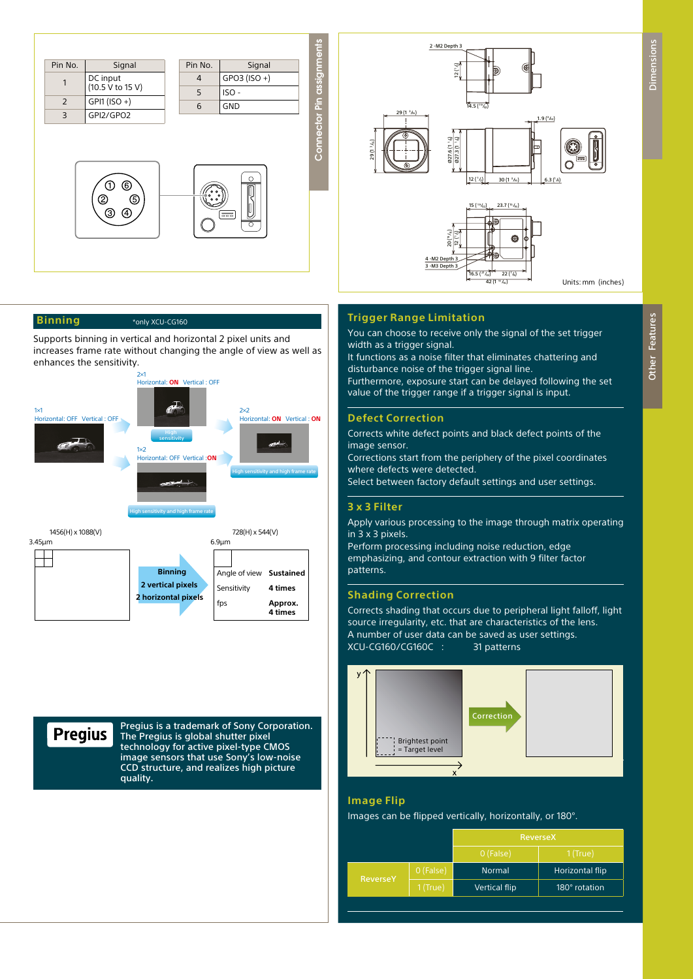

### **Binning**

\*only XCU-CG160

Supports binning in vertical and horizontal 2 pixel units and increases frame rate without changing the angle of view as well as enhances the sensitivity.



3.45μm 6.9μm  $\Box$ **Binning** Angle of view **Sustained 2 vertical pixels** Sensitivity **4 times 2 horizontal pixels** fps **Approx. 4 times**

# **Pregius**

Pregius is a trademark of Sony Corporation. The Pregius is global shutter pixel technology for active pixel-type CMOS image sensors that use Sony's low-noise CCD structure, and realizes high picture quality.



### **Trigger Range Limitation**

You can choose to receive only the signal of the set trigger width as a trigger signal.

It functions as a noise filter that eliminates chattering and disturbance noise of the trigger signal line.

Furthermore, exposure start can be delayed following the set value of the trigger range if a trigger signal is input.

### **Defect Correction**

Corrects white defect points and black defect points of the image sensor.

Corrections start from the periphery of the pixel coordinates where defects were detected.

Select between factory default settings and user settings.

### **3 x 3 Filter**

Apply various processing to the image through matrix operating in 3 x 3 pixels.

Perform processing including noise reduction, edge emphasizing, and contour extraction with 9 filter factor patterns.

### **Shading Correction**

Corrects shading that occurs due to peripheral light falloff, light source irregularity, etc. that are characteristics of the lens. A number of user data can be saved as user settings. XCU-CG160/CG160C : 31 patterns



### **Image Flip**

Images can be flipped vertically, horizontally, or 180°.

|                 |            | ReverseX             |                 |  |
|-----------------|------------|----------------------|-----------------|--|
|                 |            | 0 (False)            | $1$ (True)      |  |
| <b>ReverseY</b> | 0 (False)  | <b>Normal</b>        | Horizontal flip |  |
|                 | $1$ (True) | <b>Vertical flip</b> | 180° rotation   |  |